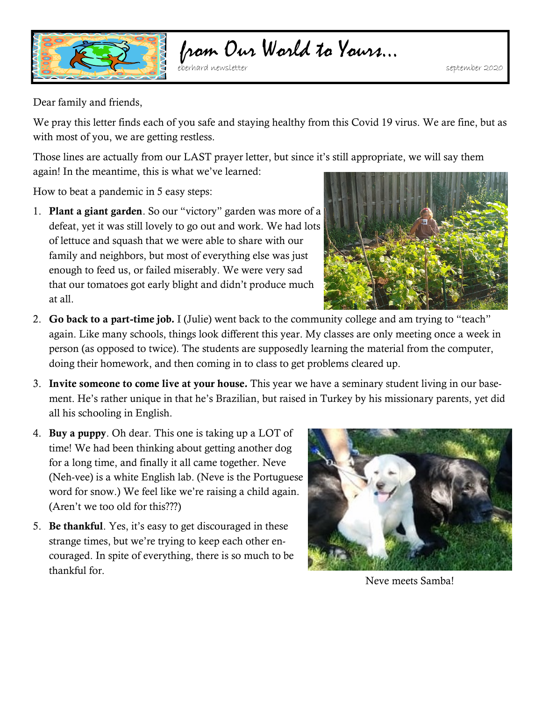

## from Our World to Yours…

Dear family and friends,

We pray this letter finds each of you safe and staying healthy from this Covid 19 virus. We are fine, but as with most of you, we are getting restless.

Those lines are actually from our LAST prayer letter, but since it's still appropriate, we will say them again! In the meantime, this is what we've learned:

How to beat a pandemic in 5 easy steps:

1. **Plant a giant garden**. So our "victory" garden was more of a defeat, yet it was still lovely to go out and work. We had lots of lettuce and squash that we were able to share with our family and neighbors, but most of everything else was just enough to feed us, or failed miserably. We were very sad that our tomatoes got early blight and didn't produce much at all.



- 2. **Go back to a part-time job***.* I (Julie) went back to the community college and am trying to "teach" again. Like many schools, things look different this year. My classes are only meeting once a week in person (as opposed to twice). The students are supposedly learning the material from the computer, doing their homework, and then coming in to class to get problems cleared up.
- 3. **Invite someone to come live at your house***.* This year we have a seminary student living in our basement. He's rather unique in that he's Brazilian, but raised in Turkey by his missionary parents, yet did all his schooling in English.
- 4. **Buy a puppy**. Oh dear. This one is taking up a LOT of time! We had been thinking about getting another dog for a long time, and finally it all came together. Neve (Neh-vee) is a white English lab. (Neve is the Portuguese word for snow.) We feel like we're raising a child again. (Aren't we too old for this???)
- 5. **Be thankful**. Yes, it's easy to get discouraged in these strange times, but we're trying to keep each other encouraged. In spite of everything, there is so much to be thankful for.



Neve meets Samba!